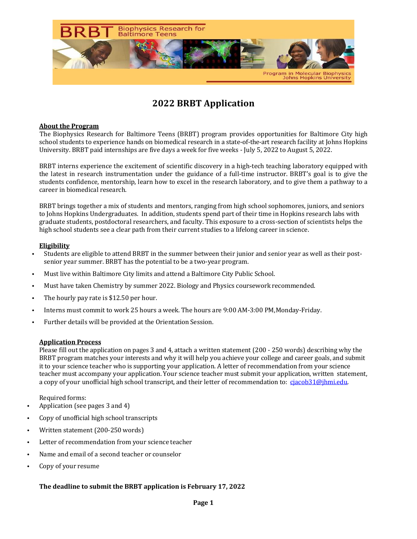

# **2022 BRBT Application**

### **About the Program**

The Biophysics Research for Baltimore Teens (BRBT) program provides opportunities for Baltimore City high school students to experience hands on biomedical research in a state-of-the-art research facility at Johns Hopkins University. BRBT paid internships are five days a week for five weeks - July 5, 2022 to August 5, 2022.

BRBT interns experience the excitement of scientific discovery in a high-tech teaching laboratory equipped with the latest in research instrumentation under the guidance of a full-time instructor. BRBT's goal is to give the students confidence, mentorship, learn how to excel in the research laboratory, and to give them a pathway to a career in biomedical research.

BRBT brings together a mix of students and mentors, ranging from high school sophomores, juniors, and seniors to Johns Hopkins Undergraduates. In addition, students spend part of their time in Hopkins research labs with graduate students, postdoctoral researchers, and faculty. This exposure to a cross-section of scientists helps the high school students see a clear path from their current studies to a lifelong career in science.

#### **Eligibility**

- Students are eligible to attend BRBT in the summer between their junior and senior year as well as their postsenior year summer. BRBT has the potential to be a two-year program.
- Must live within Baltimore City limits and attend a Baltimore City Public School.
- Must have taken Chemistry by summer 2022. Biology and Physics coursework recommended.
- The hourly pay rate is \$12.50 per hour.
- Interns must commit to work 25 hours a week. The hours are 9:00 AM-3:00 PM, Monday-Friday.
- Further details will be provided at the Orientation Session.

#### **Application Process**

Please fill out the application on pages 3 and 4, attach a written statement  $(200 - 250$  words) describing why the BRBT program matches your interests and why it will help you achieve your college and career goals, and submit it to your science teacher who is supporting your application. A letter of recommendation from your science teacher must accompany your application. Your science teacher must submit your application, written statement, a copy of your unofficial high school transcript, and their letter of recommendation to: cjacob31@jhmi.edu.

Required forms:

- Application (see pages  $3$  and  $4$ )
- Copy of unofficial high school transcripts
- Written statement (200-250 words)
- Letter of recommendation from your science teacher
- Name and email of a second teacher or counselor
- Copy of your resume

### The deadline to submit the BRBT application is February 17, 2022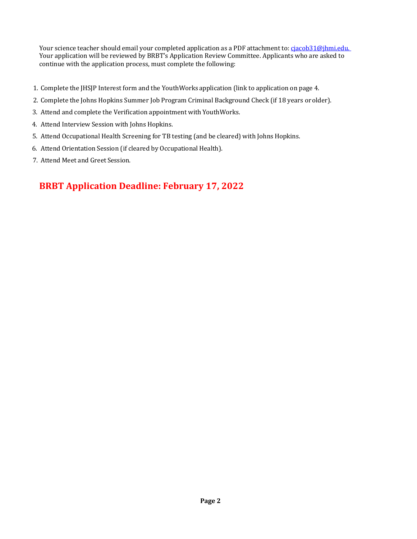Your science teacher should email your completed application as a PDF attachment to: cjacob31@jhmi.edu. Your application will be reviewed by BRBT's Application Review Committee. Applicants who are asked to continue with the application process, must complete the following:

- 1. Complete the JHSJP Interest form and the YouthWorks application (link to application on page 4.
- 2. Complete the Johns Hopkins Summer Job Program Criminal Background Check (if 18 years or older).
- 3. Attend and complete the Verification appointment with YouthWorks.
- 4. Attend Interview Session with Johns Hopkins.
- 5. Attend Occupational Health Screening for TB testing (and be cleared) with Johns Hopkins.
- 6. Attend Orientation Session (if cleared by Occupational Health).
- 7. Attend Meet and Greet Session.

## **BRBT Application Deadline: February 17, 2022**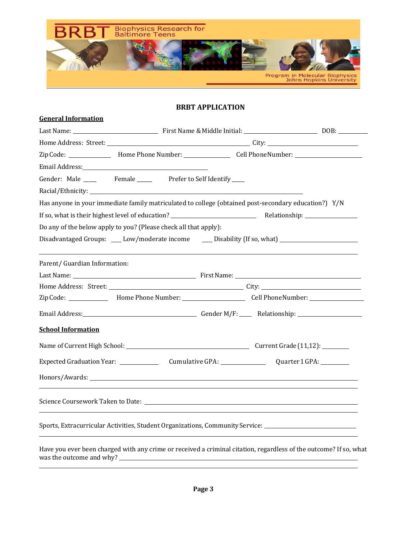

### **BRBT APPLICATION**

| <b>General Information</b>                                                                                                                                                                                                    |  |
|-------------------------------------------------------------------------------------------------------------------------------------------------------------------------------------------------------------------------------|--|
| Last Name: 1990. [13] Pirst Name & Middle Initial: 1990. [23] DOB: 1990. [23] DOB: 1990. [23] DOB: 1990. [23] DOB: 1990. [23] DOB: 1990. [23] DOB: 1990. [23] DOB: 1990. [23] DOB: 1990. [23] DOB: 1990. [23] DOB: 1990. [23] |  |
|                                                                                                                                                                                                                               |  |
|                                                                                                                                                                                                                               |  |
| Email Address: North American Section 1988.                                                                                                                                                                                   |  |
| Gender: Male ______ Female ______ Prefer to Self Identify ____                                                                                                                                                                |  |
|                                                                                                                                                                                                                               |  |
| Has anyone in your immediate family matriculated to college (obtained post-secondary education?) Y/N                                                                                                                          |  |
|                                                                                                                                                                                                                               |  |
| Do any of the below apply to you? (Please check all that apply):                                                                                                                                                              |  |
| Disadvantaged Groups: ____ Low/moderate income ______ Disability (If so, what) ____________________                                                                                                                           |  |
|                                                                                                                                                                                                                               |  |
| Parent/ Guardian Information:                                                                                                                                                                                                 |  |
|                                                                                                                                                                                                                               |  |
|                                                                                                                                                                                                                               |  |
|                                                                                                                                                                                                                               |  |
|                                                                                                                                                                                                                               |  |
| <b>School Information</b>                                                                                                                                                                                                     |  |
|                                                                                                                                                                                                                               |  |
| Expected Graduation Year: Cumulative GPA: Quarter 1 GPA:                                                                                                                                                                      |  |
|                                                                                                                                                                                                                               |  |
|                                                                                                                                                                                                                               |  |
| Sports, Extracurricular Activities, Student Organizations, Community Service:                                                                                                                                                 |  |

Have you ever been charged with any crime or received a criminal citation, regardless of the outcome? If so, what was the outcome and why?